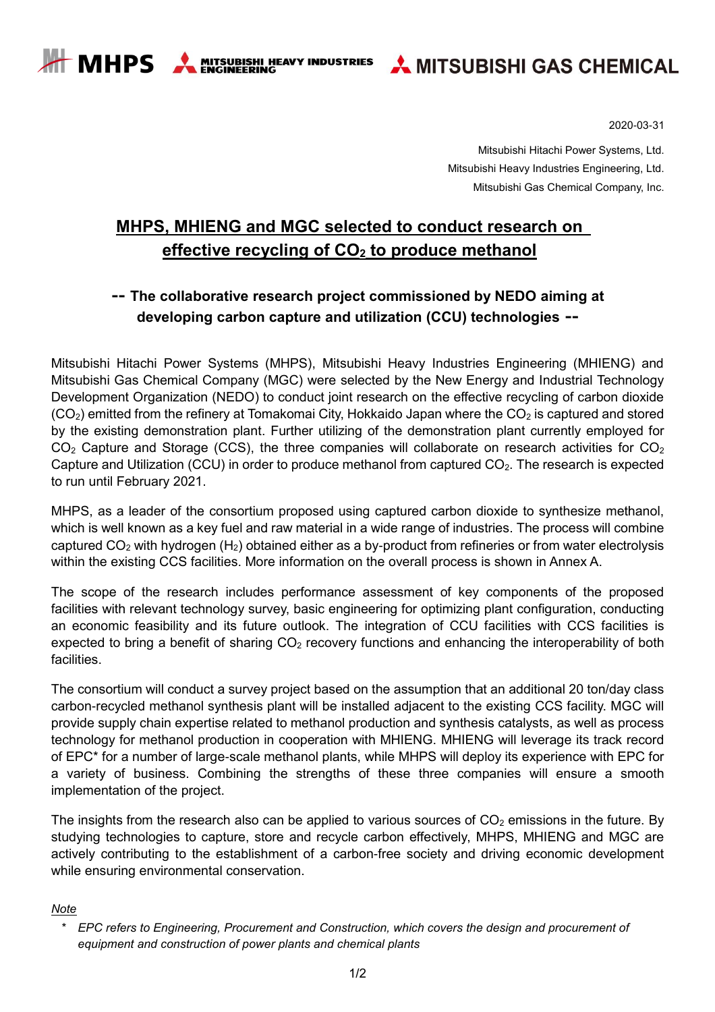**MITSUBISHI HEAVY INDUSTRIES<br>ENGINEERING** 

**A MHPS** 



2020-03-31

Mitsubishi Hitachi Power Systems, Ltd. Mitsubishi Heavy Industries Engineering, Ltd. Mitsubishi Gas Chemical Company, Inc.

# **MHPS, MHIENG and MGC selected to conduct research on effective recycling of CO<sup>2</sup> to produce methanol**

## **-- The collaborative research project commissioned by NEDO aiming at developing carbon capture and utilization (CCU) technologies --**

Mitsubishi Hitachi Power Systems (MHPS), Mitsubishi Heavy Industries Engineering (MHIENG) and Mitsubishi Gas Chemical Company (MGC) were selected by the New Energy and Industrial Technology Development Organization (NEDO) to conduct joint research on the effective recycling of carbon dioxide  $(CO<sub>2</sub>)$  emitted from the refinery at Tomakomai City, Hokkaido Japan where the  $CO<sub>2</sub>$  is captured and stored by the existing demonstration plant. Further utilizing of the demonstration plant currently employed for  $CO<sub>2</sub>$  Capture and Storage (CCS), the three companies will collaborate on research activities for  $CO<sub>2</sub>$ Capture and Utilization (CCU) in order to produce methanol from captured  $CO<sub>2</sub>$ . The research is expected to run until February 2021.

MHPS, as a leader of the consortium proposed using captured carbon dioxide to synthesize methanol, which is well known as a key fuel and raw material in a wide range of industries. The process will combine captured  $CO<sub>2</sub>$  with hydrogen (H<sub>2</sub>) obtained either as a by-product from refineries or from water electrolysis within the existing CCS facilities. More information on the overall process is shown in Annex A.

The scope of the research includes performance assessment of key components of the proposed facilities with relevant technology survey, basic engineering for optimizing plant configuration, conducting an economic feasibility and its future outlook. The integration of CCU facilities with CCS facilities is expected to bring a benefit of sharing  $CO<sub>2</sub>$  recovery functions and enhancing the interoperability of both facilities.

The consortium will conduct a survey project based on the assumption that an additional 20 ton/day class carbon-recycled methanol synthesis plant will be installed adjacent to the existing CCS facility. MGC will provide supply chain expertise related to methanol production and synthesis catalysts, as well as process technology for methanol production in cooperation with MHIENG. MHIENG will leverage its track record of EPC\* for a number of large-scale methanol plants, while MHPS will deploy its experience with EPC for a variety of business. Combining the strengths of these three companies will ensure a smooth implementation of the project.

The insights from the research also can be applied to various sources of  $CO<sub>2</sub>$  emissions in the future. By studying technologies to capture, store and recycle carbon effectively, MHPS, MHIENG and MGC are actively contributing to the establishment of a carbon-free society and driving economic development while ensuring environmental conservation.

#### *Note*

*<sup>\*</sup> EPC refers to Engineering, Procurement and Construction, which covers the design and procurement of equipment and construction of power plants and chemical plants*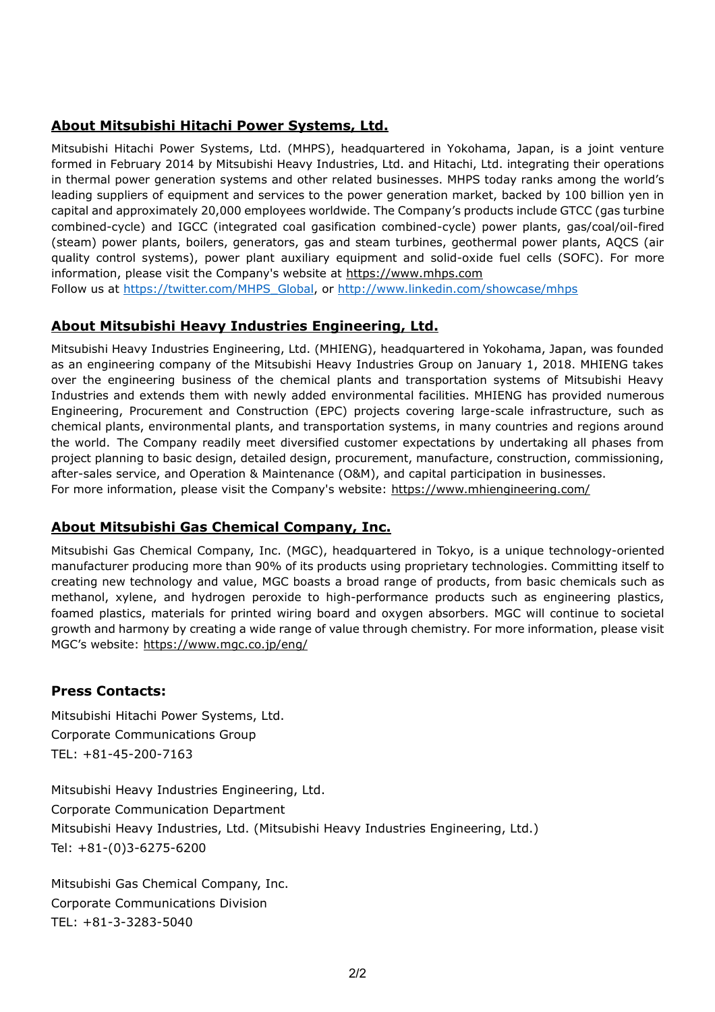## **About Mitsubishi Hitachi Power Systems, Ltd.**

Mitsubishi Hitachi Power Systems, Ltd. (MHPS), headquartered in Yokohama, Japan, is a joint venture formed in February 2014 by Mitsubishi Heavy Industries, Ltd. and Hitachi, Ltd. integrating their operations in thermal power generation systems and other related businesses. MHPS today ranks among the world's leading suppliers of equipment and services to the power generation market, backed by 100 billion yen in capital and approximately 20,000 employees worldwide. The Company's products include GTCC (gas turbine combined-cycle) and IGCC (integrated coal gasification combined-cycle) power plants, gas/coal/oil-fired (steam) power plants, boilers, generators, gas and steam turbines, geothermal power plants, AQCS (air quality control systems), power plant auxiliary equipment and solid-oxide fuel cells (SOFC). For more information, please visit the Company's website at https://www.mhps.com

Follow us at [https://twitter.com/MHPS\\_Global,](https://twitter.com/MHPS_Global) or<http://www.linkedin.com/showcase/mhps>

## **About Mitsubishi Heavy Industries Engineering, Ltd.**

Mitsubishi Heavy Industries Engineering, Ltd. (MHIENG), headquartered in Yokohama, Japan, was founded as an engineering company of the Mitsubishi Heavy Industries Group on January 1, 2018. MHIENG takes over the engineering business of the chemical plants and transportation systems of Mitsubishi Heavy Industries and extends them with newly added environmental facilities. MHIENG has provided numerous Engineering, Procurement and Construction (EPC) projects covering large-scale infrastructure, such as chemical plants, environmental plants, and transportation systems, in many countries and regions around the world. The Company readily meet diversified customer expectations by undertaking all phases from project planning to basic design, detailed design, procurement, manufacture, construction, commissioning, after-sales service, and Operation & Maintenance (O&M), and capital participation in businesses. For more information, please visit the Company's website: https://www.mhiengineering.com/

#### **About Mitsubishi Gas Chemical Company, Inc.**

Mitsubishi Gas Chemical Company, Inc. (MGC), headquartered in Tokyo, is a unique technology-oriented manufacturer producing more than 90% of its products using proprietary technologies. Committing itself to creating new technology and value, MGC boasts a broad range of products, from basic chemicals such as methanol, xylene, and hydrogen peroxide to high-performance products such as engineering plastics, foamed plastics, materials for printed wiring board and oxygen absorbers. MGC will continue to societal growth and harmony by creating a wide range of value through chemistry. For more information, please visit MGC's website: https://www.mgc.co.jp/eng/

#### **Press Contacts:**

Mitsubishi Hitachi Power Systems, Ltd. Corporate Communications Group TEL: +81-45-200-7163

Mitsubishi Heavy Industries Engineering, Ltd. Corporate Communication Department Mitsubishi Heavy Industries, Ltd. (Mitsubishi Heavy Industries Engineering, Ltd.) Tel: +81-(0)3-6275-6200

Mitsubishi Gas Chemical Company, Inc. Corporate Communications Division TEL: +81-3-3283-5040